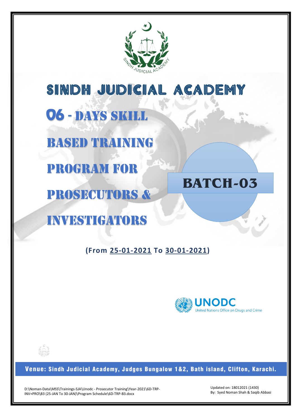

SINDH JUDICIAL ACADEMY

**06** - DAYS SKILL

BASED TRAINING

PROGRAM FOR

PROSECUTORs &

# **BATCH-03**

investigators

**(From 25-01-2021 To 30-01-2021)** 



Venue: Sindh Judicial Academy, Judges Bungalow 1&2, Bath island, Clifton, Karachi.

D:\Noman-Data\MSS\Trainings-SJA\Unodc - Prosecutor Training\Year-2021\6D-TRP-INV+PRO\B3 (25-JAN To 30-JAN)\Program Schedule\6D-TRP-B3.docx

Updated on: 18012021 (1430) By: Syed Noman Shah & Saqib Abbasi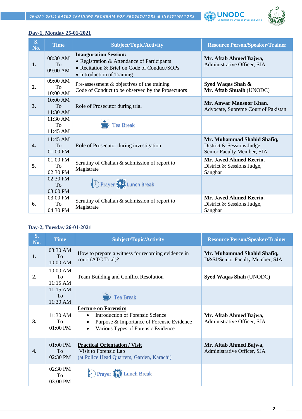



#### **Day-1, Monday 25-01-2021**

| $S_{\bullet}$<br>No. | <b>Time</b>                       | <b>Subject/Topic/Activity</b>                                                                                                                             | <b>Resource Person/Speaker/Trainer</b>                                                 |
|----------------------|-----------------------------------|-----------------------------------------------------------------------------------------------------------------------------------------------------------|----------------------------------------------------------------------------------------|
| 1.                   | 08:30 AM<br>To<br>09:00 AM        | <b>Inauguration Session:</b><br>• Registration & Attendance of Participants<br>• Recitation & Brief on Code of Conduct/SOPs<br>• Introduction of Training | Mr. Aftab Ahmed Bajwa,<br>Administrative Officer, SJA                                  |
| 2.                   | 09:00 AM<br>To<br>10:00 AM        | Pre-assessment $\&$ objectives of the training<br>Code of Conduct to be observed by the Prosecutors                                                       | Syed Waqas Shah &<br>Mr. Aftab Shuaib (UNODC)                                          |
| 3.                   | 10:00 AM<br><b>To</b><br>11:30 AM | Role of Prosecutor during trial                                                                                                                           | Mr. Anwar Mansoor Khan,<br>Advocate, Supreme Court of Pakistan                         |
|                      | 11:30 AM<br>To<br>11:45 AM        | <b>Tea Break</b>                                                                                                                                          |                                                                                        |
| 4.                   | $11:45$ AM<br>To<br>01:00 PM      | Role of Prosecutor during investigation                                                                                                                   | Mr. Muhammad Shahid Shafiq,<br>District & Sessions Judge<br>Senior Faculty Member, SJA |
| 5.                   | 01:00 PM<br>To<br>02:30 PM        | Scrutiny of Challan & submission of report to<br>Magistrate                                                                                               | Mr. Javed Ahmed Keerio,<br>District & Sessions Judge,<br>Sanghar                       |
|                      | 02:30 PM<br>To<br>03:00 PM        | <b>D</b> Prayer <b>P</b> Lunch Break                                                                                                                      |                                                                                        |
| 6.                   | 03:00 PM<br>To<br>04:30 PM        | Scrutiny of Challan & submission of report to<br>Magistrate                                                                                               | Mr. Javed Ahmed Keerio,<br>District & Sessions Judge,<br>Sanghar                       |

#### **Day-2, Tuesday 26-01-2021**

| $S_{\bullet}$<br>No. | <b>Time</b>                    | <b>Subject/Topic/Activity</b>                                                                                                                             | <b>Resource Person/Speaker/Trainer</b>                         |
|----------------------|--------------------------------|-----------------------------------------------------------------------------------------------------------------------------------------------------------|----------------------------------------------------------------|
| 1.                   | 08:30 AM<br>To<br>10:00 AM     | How to prepare a witness for recording evidence in<br>court (ATC Trial)?                                                                                  | Mr. Muhammad Shahid Shafiq,<br>D&SJ/Senior Faculty Member, SJA |
| 2.                   | $10:00$ AM<br>To<br>$11:15$ AM | Team Building and Conflict Resolution                                                                                                                     | Syed Waqas Shah (UNODC)                                        |
|                      | $11:15$ AM<br>To<br>11:30 AM   | <b>7</b> Tea Break                                                                                                                                        |                                                                |
| 3.                   | $11:30$ AM<br>To<br>$01:00$ PM | <b>Lecture on Forensics</b><br><b>Introduction of Forensic Science</b><br>Purpose & Importance of Forensic Evidence<br>Various Types of Forensic Evidence | Mr. Aftab Ahmed Bajwa,<br>Administrative Officer, SJA          |
| 4.                   | 01:00 PM<br>To<br>02:30 PM     | <b>Practical Orientation / Visit</b><br>Visit to Forensic Lab<br>(at Police Head Quarters, Garden, Karachi)                                               | Mr. Aftab Ahmed Bajwa,<br>Administrative Officer, SJA          |
|                      | $02:30$ PM<br>To<br>03:00 PM   | Derayer (<br><b>Lunch Break</b>                                                                                                                           |                                                                |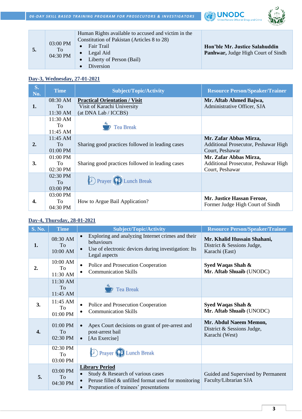



| 5. | 03:00 PM<br>To<br>04:30 PM | Human Rights available to accused and victim in the<br>Constitution of Pakistan (Articles 8 to 28)<br>Fair Trail<br>Legal Aid<br>Liberty of Person (Bail)<br>Diversion | Hon'ble Mr. Justice Salahuddin<br><b>Panhwar, Judge High Court of Sindh</b> |
|----|----------------------------|------------------------------------------------------------------------------------------------------------------------------------------------------------------------|-----------------------------------------------------------------------------|
|----|----------------------------|------------------------------------------------------------------------------------------------------------------------------------------------------------------------|-----------------------------------------------------------------------------|

#### **Day-3, Wednesday, 27-01-2021**

| S.<br>No. | <b>Time</b>                              | <b>Subject/Topic/Activity</b>                                                               | <b>Resource Person/Speaker/Trainer</b>                                            |
|-----------|------------------------------------------|---------------------------------------------------------------------------------------------|-----------------------------------------------------------------------------------|
| 1.        | 08:30 AM<br>To<br>$11:30 \text{ AM}$     | <b>Practical Orientation / Visit</b><br>Visit of Karachi University<br>(at DNA Lab / ICCBS) | Mr. Aftab Ahmed Bajwa,<br>Administrative Officer, SJA                             |
|           | $11:30 \text{ AM}$<br>To<br>11:45 AM     | $\overrightarrow{P}$ Tea Break                                                              |                                                                                   |
| 2.        | 11:45 AM<br>To<br>$01:00$ PM             | Sharing good practices followed in leading cases                                            | Mr. Zafar Abbas Mirza,<br>Additional Prosecutor, Peshawar High<br>Court, Peshawar |
| 3.        | $01:00$ PM<br>To<br>02:30 PM             | Sharing good practices followed in leading cases                                            | Mr. Zafar Abbas Mirza,<br>Additional Prosecutor, Peshawar High<br>Court, Peshawar |
|           | $02:30$ PM<br>T <sub>o</sub><br>03:00 PM | <b>D</b> Prayer <b>P</b> Lunch Break                                                        |                                                                                   |
| 4.        | 03:00 PM<br>To<br>04:30 PM               | How to Argue Bail Application?                                                              | Mr. Justice Hassan Feroze,<br>Former Judge High Court of Sindh                    |

### **Day-4, Thursday, 28-01-2021**

| <b>S. No.</b>    | <b>Time</b>                            | <b>Subject/Topic/Activity</b>                                                                                                                                  | <b>Resource Person/Speaker/Trainer</b>                                      |
|------------------|----------------------------------------|----------------------------------------------------------------------------------------------------------------------------------------------------------------|-----------------------------------------------------------------------------|
| 1.               | 08:30 AM<br>To<br>10:00 AM             | Exploring and analyzing Internet crimes and their<br>behaviours<br>Use of electronic devices during investigation: Its<br>Legal aspects                        | Mr. Khalid Hussain Shahani,<br>District & Sessions Judge,<br>Karachi (East) |
| 2.               | 10:00 AM<br>To<br>11:30 AM             | Police and Prosecution Cooperation<br>$\bullet$<br><b>Communication Skills</b>                                                                                 | Syed Waqas Shah &<br>Mr. Aftab Shuaib (UNODC)                               |
|                  | 11:30 AM<br>To<br>11:45 AM             | <b>Tea Break</b>                                                                                                                                               |                                                                             |
| 3.               | 11:45 AM<br>To<br>01:00 PM             | Police and Prosecution Cooperation<br><b>Communication Skills</b>                                                                                              | Syed Waqas Shah &<br>Mr. Aftab Shuaib (UNODC)                               |
| $\overline{4}$ . | $01:00$ PM<br>To<br>02:30 PM           | Apex Court decisions on grant of pre-arrest and<br>post-arrest bail<br>[An Exercise]<br>$\bullet$                                                              | Mr. Abdul Naeem Memon,<br>District & Sessions Judge,<br>Karachi (West)      |
|                  | 02:30 PM<br>To<br>03:00 PM             | <b>D</b> Prayer <b>P</b> Lunch Break                                                                                                                           |                                                                             |
| 5.               | 03:00 PM<br>T <sub>0</sub><br>04:30 PM | <b>Library Period</b><br>Study & Research of various cases<br>Peruse filled $\&$ unfilled format used for monitoring<br>Preparation of trainees' presentations | Guided and Supervised by Permanent<br>Faculty/Librarian SJA                 |